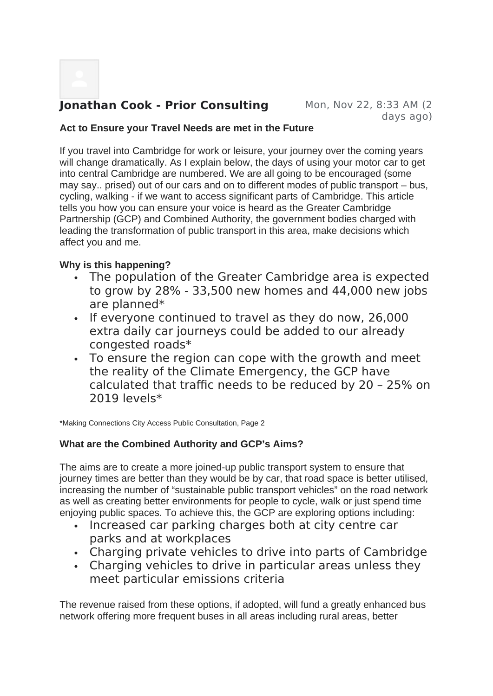# **Jonathan Cook - Prior Consulting Mon, Nov 22, 8:33 AM (2)**

days ago)

#### **Act to Ensure your Travel Needs are met in the Future**

If you travel into Cambridge for work or leisure, your journey over the coming years will change dramatically. As I explain below, the days of using your motor car to get into central Cambridge are numbered. We are all going to be encouraged (some may say.. prised) out of our cars and on to different modes of public transport – bus, cycling, walking - if we want to access significant parts of Cambridge. This article tells you how you can ensure your voice is heard as the Greater Cambridge Partnership (GCP) and Combined Authority, the government bodies charged with leading the transformation of public transport in this area, make decisions which affect you and me.

## **Why is this happening?**

- The population of the Greater Cambridge area is expected to grow by 28% - 33,500 new homes and 44,000 new jobs are planned\*
- . If everyone continued to travel as they do now, 26,000 extra daily car journeys could be added to our already congested roads\*
- To ensure the region can cope with the growth and meet the reality of the Climate Emergency, the GCP have calculated that traffic needs to be reduced by 20 – 25% on 2019 levels\*

\*Making Connections City Access Public Consultation, Page 2

## **What are the Combined Authority and GCP's Aims?**

The aims are to create a more joined-up public transport system to ensure that journey times are better than they would be by car, that road space is better utilised, increasing the number of "sustainable public transport vehicles" on the road network as well as creating better environments for people to cycle, walk or just spend time enjoying public spaces. To achieve this, the GCP are exploring options including:

- Increased car parking charges both at city centre car parks and at workplaces
- Charging private vehicles to drive into parts of Cambridge
- Charging vehicles to drive in particular areas unless they meet particular emissions criteria

The revenue raised from these options, if adopted, will fund a greatly enhanced bus network offering more frequent buses in all areas including rural areas, better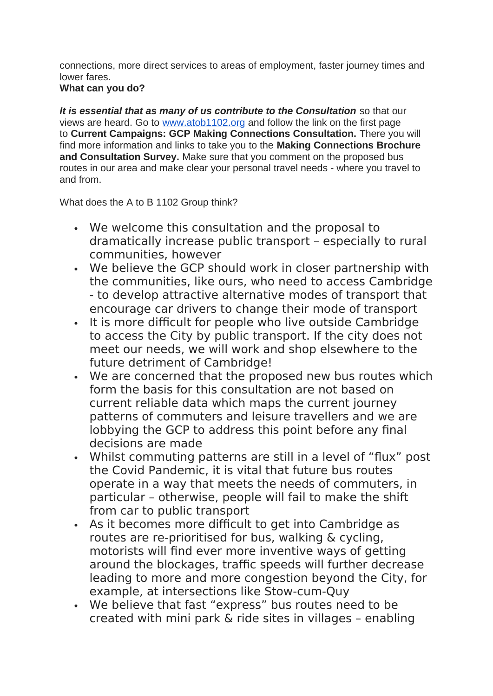connections, more direct services to areas of employment, faster journey times and lower fares.

#### **What can you do?**

*It is essential that as many of us contribute to the Consultation* so that our views are heard. Go to www.atob1102.org and follow the link on the first page to **Current Campaigns: GCP Making Connections Consultation.** There you will find more information and links to take you to the **Making Connections Brochure and Consultation Survey.** Make sure that you comment on the proposed bus routes in our area and make clear your personal travel needs - where you travel to and from.

What does the A to B 1102 Group think?

- We welcome this consultation and the proposal to dramatically increase public transport – especially to rural communities, however
- We believe the GCP should work in closer partnership with the communities, like ours, who need to access Cambridge - to develop attractive alternative modes of transport that encourage car drivers to change their mode of transport
- It is more difficult for people who live outside Cambridge to access the City by public transport. If the city does not meet our needs, we will work and shop elsewhere to the future detriment of Cambridge!
- We are concerned that the proposed new bus routes which form the basis for this consultation are not based on current reliable data which maps the current journey patterns of commuters and leisure travellers and we are lobbying the GCP to address this point before any final decisions are made
- Whilst commuting patterns are still in a level of "flux" post the Covid Pandemic, it is vital that future bus routes operate in a way that meets the needs of commuters, in particular – otherwise, people will fail to make the shift from car to public transport
- As it becomes more difficult to get into Cambridge as routes are re-prioritised for bus, walking & cycling, motorists will find ever more inventive ways of getting around the blockages, traffic speeds will further decrease leading to more and more congestion beyond the City, for example, at intersections like Stow-cum-Quy
- We believe that fast "express" bus routes need to be created with mini park & ride sites in villages – enabling